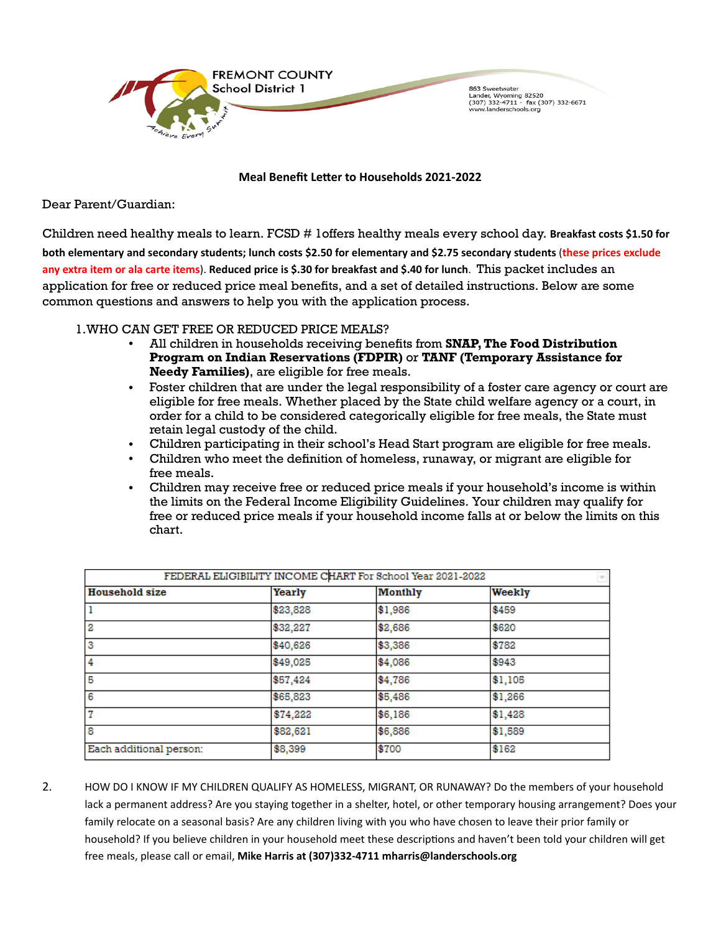

**Meal Benefit Letter to Households 2021-2022** 

Dear Parent/Guardian:

Children need healthy meals to learn. FCSD # 1offers healthy meals every school day. **Breakfast costs \$1.50 for both elementary and secondary students; lunch costs \$2.50 for elementary and \$2.75 secondary students** (**these prices exclude any extra item or ala carte items**). **Reduced price is \$.30 for breakfast and \$.40 for lunch**. This packet includes an application for free or reduced price meal benefits, and a set of detailed instructions. Below are some common questions and answers to help you with the application process.

## 1.WHO CAN GET FREE OR REDUCED PRICE MEALS?

- All children in households receiving benefits from **SNAP, The Food Distribution Program on Indian Reservations (FDPIR)** or **TANF (Temporary Assistance for Needy Families)**, are eligible for free meals.
- Foster children that are under the legal responsibility of a foster care agency or court are eligible for free meals. Whether placed by the State child welfare agency or a court, in order for a child to be considered categorically eligible for free meals, the State must retain legal custody of the child.
- Children participating in their school's Head Start program are eligible for free meals.
- Children who meet the definition of homeless, runaway, or migrant are eligible for free meals.
- Children may receive free or reduced price meals if your household's income is within the limits on the Federal Income Eligibility Guidelines. Your children may qualify for free or reduced price meals if your household income falls at or below the limits on this chart.

|                         |          | FEDERAL ELIGIBILITY INCOME CHART For School Year 2021-2022 |         |
|-------------------------|----------|------------------------------------------------------------|---------|
| <b>Household size</b>   | Yearly   | <b>Monthly</b>                                             | Weekly  |
| 1                       | \$23,828 | \$1,986                                                    | \$459   |
| 12                      | \$32,227 | \$2,686                                                    | \$620   |
| 3                       | \$40,626 | \$3,386                                                    | \$782   |
| $\overline{4}$          | \$49,025 | \$4,086                                                    | \$943   |
| 5                       | \$57,424 | \$4,786                                                    | \$1,105 |
| 6                       | \$65,823 | \$5,486                                                    | \$1,266 |
| $\overline{7}$          | \$74,222 | \$6,186                                                    | \$1,428 |
| $\overline{\mathbf{8}}$ | \$82,621 | \$6,886                                                    | \$1,589 |
| Each additional person: | \$8,399  | \$700                                                      | \$162   |

2. HOW DO I KNOW IF MY CHILDREN QUALIFY AS HOMELESS, MIGRANT, OR RUNAWAY? Do the members of your household lack a permanent address? Are you staying together in a shelter, hotel, or other temporary housing arrangement? Does your family relocate on a seasonal basis? Are any children living with you who have chosen to leave their prior family or household? If you believe children in your household meet these descriptions and haven't been told your children will get free meals, please call or email, **Mike Harris at (307)332-4711 mharris@landerschools.org**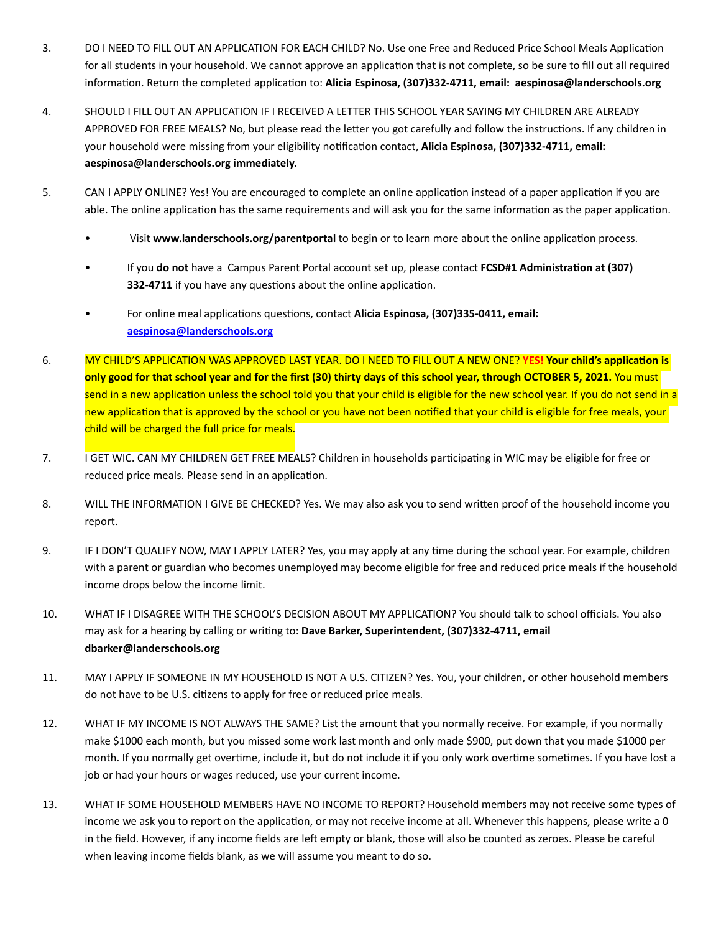- 3. DO I NEED TO FILL OUT AN APPLICATION FOR EACH CHILD? No. Use one Free and Reduced Price School Meals Application for all students in your household. We cannot approve an application that is not complete, so be sure to fill out all required information. Return the completed application to: Alicia Espinosa, (307)332-4711, email: aespinosa@landerschools.org
- 4. SHOULD I FILL OUT AN APPLICATION IF I RECEIVED A LETTER THIS SCHOOL YEAR SAYING MY CHILDREN ARE ALREADY APPROVED FOR FREE MEALS? No, but please read the letter you got carefully and follow the instructions. If any children in your household were missing from your eligibility notification contact, Alicia Espinosa, (307)332-4711, email: **aespinosa@landerschools.org immediately.**
- 5. CAN I APPLY ONLINE? Yes! You are encouraged to complete an online application instead of a paper application if you are able. The online application has the same requirements and will ask you for the same information as the paper application.
	- Visit www.landerschools.org/parentportal to begin or to learn more about the online application process.
	- If you **do not** have a Campus Parent Portal account set up, please contact FCSD#1 Administration at (307) **332-4711** if you have any questions about the online application.
	- For online meal applications questions, contact Alicia Espinosa, (307)335-0411, email: **[aespinosa@landerschools.org](mailto:aespinosa@landerschools.org)**
- 6. MY CHILD'S APPLICATION WAS APPROVED LAST YEAR. DO I NEED TO FILL OUT A NEW ONE? **YES! Your child's application is only good for that school year and for the first (30) thirty days of this school year, through OCTOBER 5, 2021.** You must send in a new application unless the school told you that your child is eligible for the new school year. If you do not send in a new application that is approved by the school or you have not been notified that your child is eligible for free meals, your child will be charged the full price for meals.
- 7. I GET WIC. CAN MY CHILDREN GET FREE MEALS? Children in households participating in WIC may be eligible for free or reduced price meals. Please send in an application.
- 8. WILL THE INFORMATION I GIVE BE CHECKED? Yes. We may also ask you to send written proof of the household income you report.
- 9. IF I DON'T QUALIFY NOW, MAY I APPLY LATER? Yes, you may apply at any time during the school year. For example, children with a parent or guardian who becomes unemployed may become eligible for free and reduced price meals if the household income drops below the income limit.
- 10. WHAT IF I DISAGREE WITH THE SCHOOL'S DECISION ABOUT MY APPLICATION? You should talk to school officials. You also may ask for a hearing by calling or writing to: Dave Barker, Superintendent, (307)332-4711, email **dbarker@landerschools.org**
- 11. MAY I APPLY IF SOMEONE IN MY HOUSEHOLD IS NOT A U.S. CITIZEN? Yes. You, your children, or other household members do not have to be U.S. citizens to apply for free or reduced price meals.
- 12. WHAT IF MY INCOME IS NOT ALWAYS THE SAME? List the amount that you normally receive. For example, if you normally make \$1000 each month, but you missed some work last month and only made \$900, put down that you made \$1000 per month. If you normally get overtime, include it, but do not include it if you only work overtime sometimes. If you have lost a job or had your hours or wages reduced, use your current income.
- 13. WHAT IF SOME HOUSEHOLD MEMBERS HAVE NO INCOME TO REPORT? Household members may not receive some types of income we ask you to report on the application, or may not receive income at all. Whenever this happens, please write a 0 in the field. However, if any income fields are left empty or blank, those will also be counted as zeroes. Please be careful when leaving income fields blank, as we will assume you meant to do so.